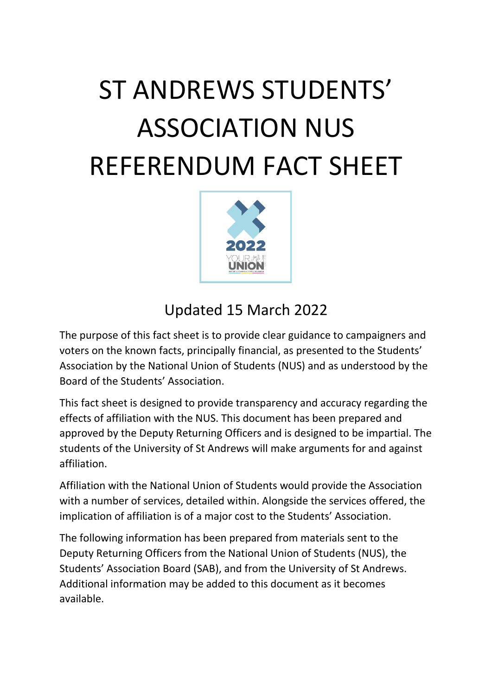# ST ANDREWS STUDENTS' ASSOCIATION NUS REFERENDUM FACT SHEET



#### Updated 15 March 2022

The purpose of this fact sheet is to provide clear guidance to campaigners and voters on the known facts, principally financial, as presented to the Students' Association by the National Union of Students (NUS) and as understood by the Board of the Students' Association.

This fact sheet is designed to provide transparency and accuracy regarding the effects of affiliation with the NUS. This document has been prepared and approved by the Deputy Returning Officers and is designed to be impartial. The students of the University of St Andrews will make arguments for and against affiliation.

Affiliation with the National Union of Students would provide the Association with a number of services, detailed within. Alongside the services offered, the implication of affiliation is of a major cost to the Students' Association.

The following information has been prepared from materials sent to the Deputy Returning Officers from the National Union of Students (NUS), the Students' Association Board (SAB), and from the University of St Andrews. Additional information may be added to this document as it becomes available.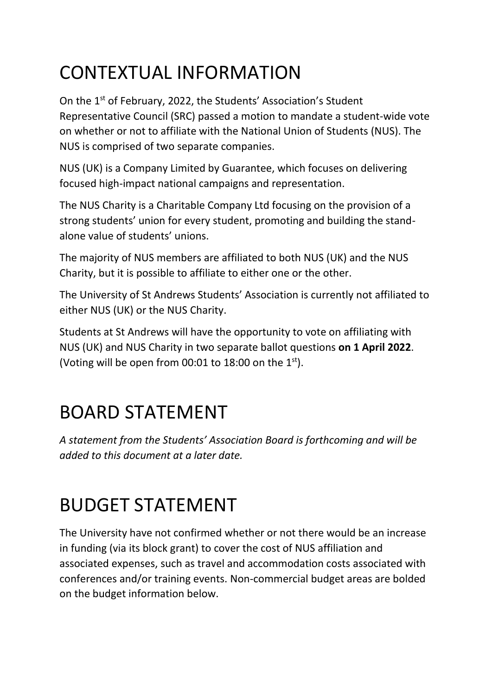## CONTEXTUAL INFORMATION

On the 1<sup>st</sup> of February, 2022, the Students' Association's Student Representative Council (SRC) passed a motion to mandate a student-wide vote on whether or not to affiliate with the National Union of Students (NUS). The NUS is comprised of two separate companies.

NUS (UK) is a Company Limited by Guarantee, which focuses on delivering focused high-impact national campaigns and representation.

The NUS Charity is a Charitable Company Ltd focusing on the provision of a strong students' union for every student, promoting and building the standalone value of students' unions.

The majority of NUS members are affiliated to both NUS (UK) and the NUS Charity, but it is possible to affiliate to either one or the other.

The University of St Andrews Students' Association is currently not affiliated to either NUS (UK) or the NUS Charity.

Students at St Andrews will have the opportunity to vote on affiliating with NUS (UK) and NUS Charity in two separate ballot questions **on 1 April 2022**. (Voting will be open from 00:01 to 18:00 on the  $1<sup>st</sup>$ ).

### BOARD STATEMENT

*A statement from the Students' Association Board is forthcoming and will be added to this document at a later date.*

### BUDGET STATEMENT

The University have not confirmed whether or not there would be an increase in funding (via its block grant) to cover the cost of NUS affiliation and associated expenses, such as travel and accommodation costs associated with conferences and/or training events. Non-commercial budget areas are bolded on the budget information below.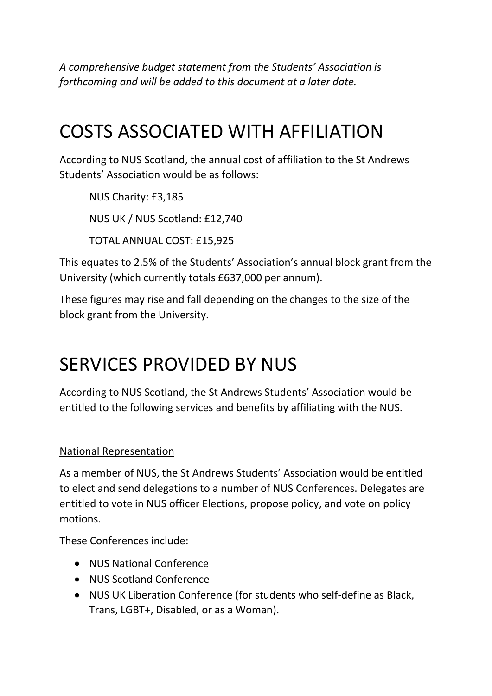*A comprehensive budget statement from the Students' Association is forthcoming and will be added to this document at a later date.*

### COSTS ASSOCIATED WITH AFFILIATION

According to NUS Scotland, the annual cost of affiliation to the St Andrews Students' Association would be as follows:

NUS Charity: £3,185 NUS UK / NUS Scotland: £12,740 TOTAL ANNUAL COST: £15,925

This equates to 2.5% of the Students' Association's annual block grant from the University (which currently totals £637,000 per annum).

These figures may rise and fall depending on the changes to the size of the block grant from the University.

### SERVICES PROVIDED BY NUS

According to NUS Scotland, the St Andrews Students' Association would be entitled to the following services and benefits by affiliating with the NUS.

National Representation

As a member of NUS, the St Andrews Students' Association would be entitled to elect and send delegations to a number of NUS Conferences. Delegates are entitled to vote in NUS officer Elections, propose policy, and vote on policy motions.

These Conferences include:

- NUS National Conference
- NUS Scotland Conference
- NUS UK Liberation Conference (for students who self-define as Black, Trans, LGBT+, Disabled, or as a Woman).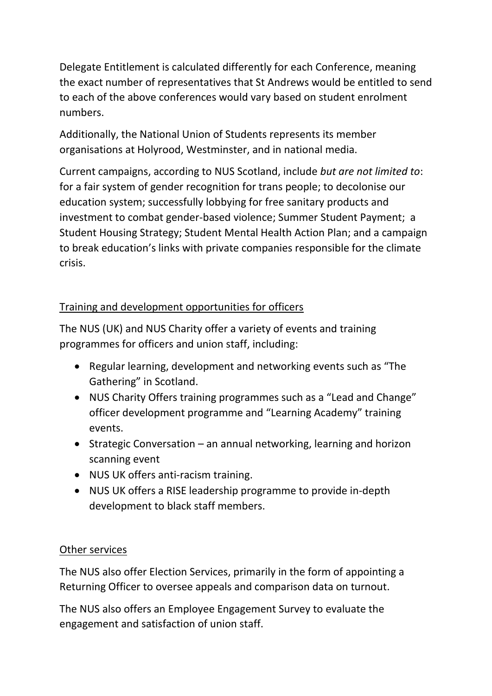Delegate Entitlement is calculated differently for each Conference, meaning the exact number of representatives that St Andrews would be entitled to send to each of the above conferences would vary based on student enrolment numbers.

Additionally, the National Union of Students represents its member organisations at Holyrood, Westminster, and in national media.

Current campaigns, according to NUS Scotland, include *but are not limited to*: for a fair system of gender recognition for trans people; to decolonise our education system; successfully lobbying for free sanitary products and investment to combat gender-based violence; Summer Student Payment; a Student Housing Strategy; Student Mental Health Action Plan; and a campaign to break education's links with private companies responsible for the climate crisis.

#### Training and development opportunities for officers

The NUS (UK) and NUS Charity offer a variety of events and training programmes for officers and union staff, including:

- Regular learning, development and networking events such as "The Gathering" in Scotland.
- NUS Charity Offers training programmes such as a "Lead and Change" officer development programme and "Learning Academy" training events.
- Strategic Conversation an annual networking, learning and horizon scanning event
- NUS UK offers anti-racism training.
- NUS UK offers a RISE leadership programme to provide in-depth development to black staff members.

#### Other services

The NUS also offer Election Services, primarily in the form of appointing a Returning Officer to oversee appeals and comparison data on turnout.

The NUS also offers an Employee Engagement Survey to evaluate the engagement and satisfaction of union staff.